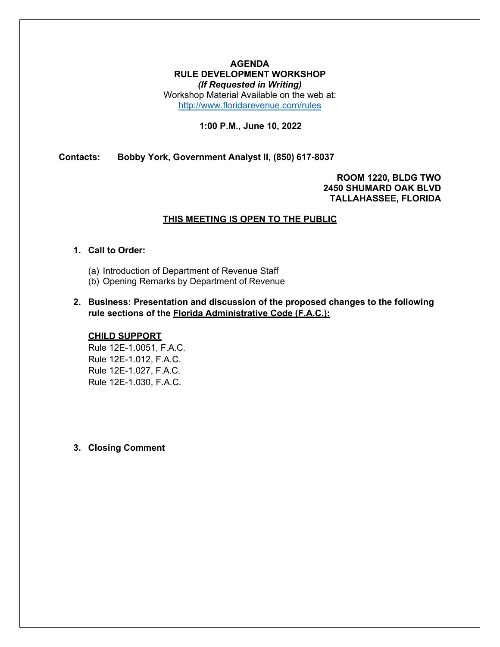### **AGENDA RULE DEVELOPMENT WORKSHOP** *(If Requested in Writing)*

Workshop Material Available on the web at: <http://www.floridarevenue.com/rules>

### **1:00 P.M., June 10, 2022**

**Contacts: Bobby York, Government Analyst II, (850) 617-8037**

### **ROOM 1220, BLDG TWO 2450 SHUMARD OAK BLVD TALLAHASSEE, FLORIDA**

### **THIS MEETING IS OPEN TO THE PUBLIC**

### **1. Call to Order:**

- (a) Introduction of Department of Revenue Staff
- (b) Opening Remarks by Department of Revenue
- **2. Business: Presentation and discussion of the proposed changes to the following rule sections of the Florida Administrative Code (F.A.C.):**

### **CHILD SUPPORT**

Rule 12E-1.0051, F.A.C. Rule 12E-1.012, F.A.C. Rule 12E-1.027, F.A.C. Rule 12E-1.030, F.A.C.

### **3. Closing Comment**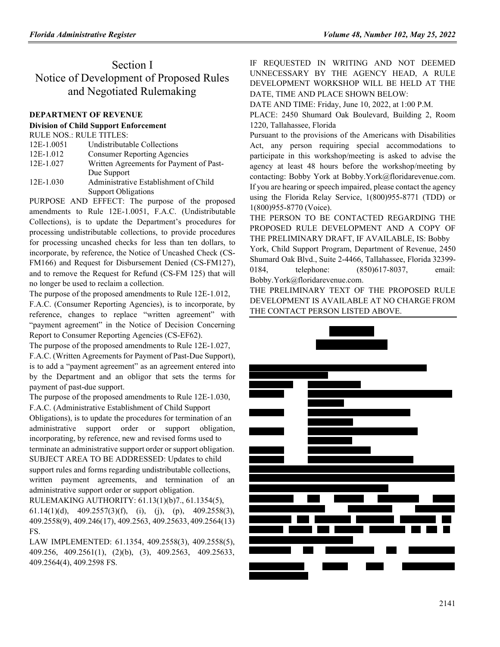# Section I Notice of Development of Proposed Rules and Negotiated Rulemaking

#### **[DEPARTMENT OF REVENUE](https://www.flrules.org/gateway/department.asp?id=12)**

#### **[Division of Child Support Enforcement](https://www.flrules.org/gateway/organization.asp?id=37)**

|            | <b>RULE NOS.: RULE TITLES:</b>          |
|------------|-----------------------------------------|
| 12E-1.0051 | Undistributable Collections             |
| 12E-1.012  | <b>Consumer Reporting Agencies</b>      |
| 12E-1.027  | Written Agreements for Payment of Past- |
|            | Due Support                             |
| 12E-1.030  | Administrative Establishment of Child   |
|            | <b>Support Obligations</b>              |

PURPOSE AND EFFECT: The purpose of the proposed amendments to Rule 12E-1.0051, F.A.C. (Undistributable Collections), is to update the Department's procedures for processing undistributable collections, to provide procedures for processing uncashed checks for less than ten dollars, to incorporate, by reference, the Notice of Uncashed Check (CS-FM166) and Request for Disbursement Denied (CS-FM127), and to remove the Request for Refund (CS-FM 125) that will no longer be used to reclaim a collection.

The purpose of the proposed amendments to Rule 12E-1.012,

F.A.C. (Consumer Reporting Agencies), is to incorporate, by reference, changes to replace "written agreement" with "payment agreement" in the Notice of Decision Concerning Report to Consumer Reporting Agencies (CS-EF62).

The purpose of the proposed amendments to Rule 12E-1.027,

F.A.C. (Written Agreements for Payment of Past-Due Support), is to add a "payment agreement" as an agreement entered into by the Department and an obligor that sets the terms for payment of past-due support.

The purpose of the proposed amendments to Rule 12E-1.030,

F.A.C. (Administrative Establishment of Child Support Obligations), is to update the procedures for termination of an administrative support order or support obligation, incorporating, by reference, new and revised forms used to terminate an administrative support order or support obligation. SUBJECT AREA TO BE ADDRESSED: Updates to child support rules and forms regarding undistributable collections, written payment agreements, and termination of an administrative support order or support obligation.

RULEMAKING AUTHORITY: [61.13\(1\)\(b\)7.,](https://www.flrules.org/gateway/statute.asp?id=61.13(1)(b)7) [61.1354\(5\),](https://www.flrules.org/gateway/statute.asp?id=%2061.1354(5))

[61.14\(1\)\(d\),](https://www.flrules.org/gateway/statute.asp?id=%2061.14(1)(d)) [409.2557\(3\)\(f\),](https://www.flrules.org/gateway/statute.asp?id=%20409.2557(3)(f)) (i), (j), (p), [409.2558\(3\),](https://www.flrules.org/gateway/statute.asp?id=%20409.2558(3)) [409.2558\(9\),](https://www.flrules.org/gateway/statute.asp?id=%20409.2558(9)) [409.246\(17\),](https://www.flrules.org/gateway/statute.asp?id=%20409.246(17)) [409.2563,](https://www.flrules.org/gateway/statute.asp?id=%20409.2563) [409.25633,](https://www.flrules.org/gateway/statute.asp?id=%20409.25633) [409.2564\(13\)](https://www.flrules.org/gateway/statute.asp?id=%20409.2564(13)%20FS) [FS.](https://www.flrules.org/gateway/statute.asp?id=%20409.2564(13)%20FS)

LAW IMPLEMENTED: [61.1354,](https://www.flrules.org/gateway/statute.asp?id=61.1354) [409.2558\(3\),](https://www.flrules.org/gateway/statute.asp?id=%20409.2558(3)) [409.2558\(5\),](https://www.flrules.org/gateway/statute.asp?id=%20409.2558(5)) [409.256,](https://www.flrules.org/gateway/statute.asp?id=%20409.256) [409.2561\(1\),](https://www.flrules.org/gateway/statute.asp?id=%20409.2561(1)) (2)(b), (3), [409.2563,](https://www.flrules.org/gateway/statute.asp?id=%20409.2563) [409.25633,](https://www.flrules.org/gateway/statute.asp?id=%20409.25633) [409.2564\(4\),](https://www.flrules.org/gateway/statute.asp?id=%20409.2564(4)) [409.2598 FS.](https://www.flrules.org/gateway/statute.asp?id=%20409.2598%20FS)

IF REQUESTED IN WRITING AND NOT DEEMED UNNECESSARY BY THE AGENCY HEAD, A RULE DEVELOPMENT WORKSHOP WILL BE HELD AT THE DATE, TIME AND PLACE SHOWN BELOW:

DATE AND TIME: Friday, June 10, 2022, at 1:00 P.M.

PLACE: 2450 Shumard Oak Boulevard, Building 2, Room 1220, Tallahassee, Florida

Pursuant to the provisions of the Americans with Disabilities Act, any person requiring special accommodations to participate in this workshop/meeting is asked to advise the agency at least 48 hours before the workshop/meeting by contacting: Bobby York at [Bobby.York@floridarevenue.com.](mailto:Bobby.York@floridarevenue.com) If you are hearing or speech impaired, please contact the agency using the Florida Relay Service, 1(800)955-8771 (TDD) or 1(800)955-8770 (Voice).

THE PERSON TO BE CONTACTED REGARDING THE PROPOSED RULE DEVELOPMENT AND A COPY OF THE PRELIMINARY DRAFT, IF AVAILABLE, IS: Bobby

York, Child Support Program, Department of Revenue, 2450 Shumard Oak Blvd., Suite 2-4466, Tallahassee, Florida 32399- 0184, telephone[:](mailto:Bobby.York@floridarevenue.com) (850)617-8037, email: [Bobby.York@floridarevenue.com.](mailto:Bobby.York@floridarevenue.com)

THE PRELIMINARY TEXT OF THE PROPOSED RULE DEVELOPMENT IS AVAILABLE AT NO CHARGE FROM THE CONTACT PERSON LISTED ABOVE.

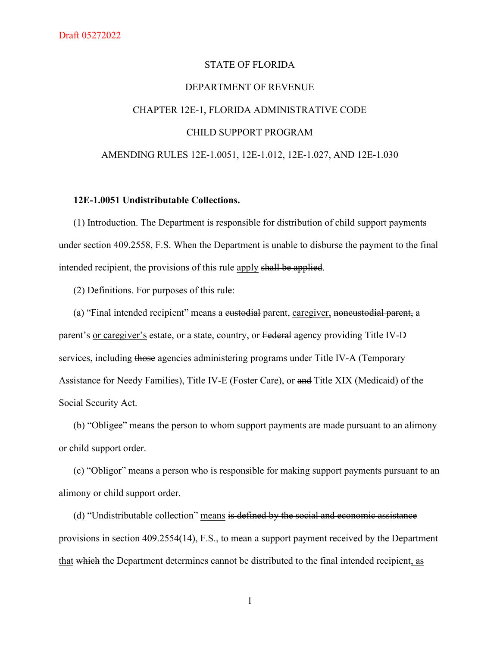# STATE OF FLORIDA DEPARTMENT OF REVENUE CHAPTER 12E-1, FLORIDA ADMINISTRATIVE CODE CHILD SUPPORT PROGRAM AMENDING RULES 12E-1.0051, 12E-1.012, 12E-1.027, AND 12E-1.030

### **12E-1.0051 Undistributable Collections.**

(1) Introduction. The Department is responsible for distribution of child support payments under section 409.2558, F.S. When the Department is unable to disburse the payment to the final intended recipient, the provisions of this rule apply shall be applied.

(2) Definitions. For purposes of this rule:

(a) "Final intended recipient" means a eustodial parent, caregiver, noncustodial parent, a parent's or caregiver's estate, or a state, country, or Federal agency providing Title IV-D services, including those agencies administering programs under Title IV-A (Temporary Assistance for Needy Families), Title IV-E (Foster Care), or and Title XIX (Medicaid) of the Social Security Act.

(b) "Obligee" means the person to whom support payments are made pursuant to an alimony or child support order.

(c) "Obligor" means a person who is responsible for making support payments pursuant to an alimony or child support order.

(d) "Undistributable collection" means is defined by the social and economic assistance provisions in section 409.2554(14), F.S., to mean a support payment received by the Department that which the Department determines cannot be distributed to the final intended recipient, as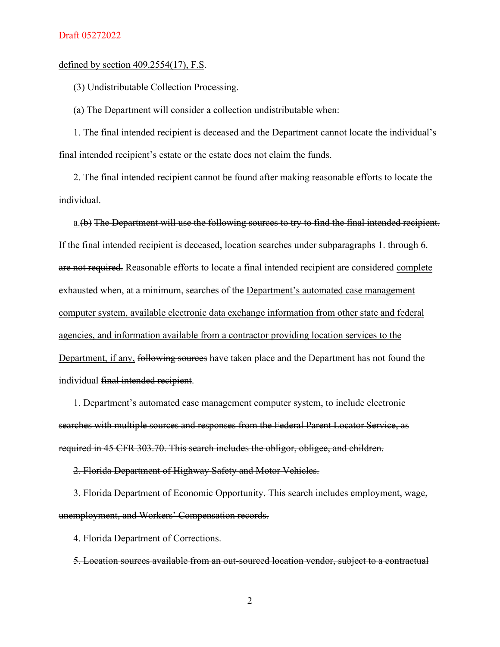### defined by section 409.2554(17), F.S.

(3) Undistributable Collection Processing.

(a) The Department will consider a collection undistributable when:

1. The final intended recipient is deceased and the Department cannot locate the individual's final intended recipient's estate or the estate does not claim the funds.

2. The final intended recipient cannot be found after making reasonable efforts to locate the individual.

a.(b) The Department will use the following sources to try to find the final intended recipient. If the final intended recipient is deceased, location searches under subparagraphs 1. through 6. are not required. Reasonable efforts to locate a final intended recipient are considered complete exhausted when, at a minimum, searches of the Department's automated case management computer system, available electronic data exchange information from other state and federal agencies, and information available from a contractor providing location services to the Department, if any, following sources have taken place and the Department has not found the individual final intended recipient.

1. Department's automated case management computer system, to include electronic searches with multiple sources and responses from the Federal Parent Locator Service, as required in 45 CFR 303.70. This search includes the obligor, obligee, and children.

2. Florida Department of Highway Safety and Motor Vehicles.

3. Florida Department of Economic Opportunity. This search includes employment, wage, unemployment, and Workers' Compensation records.

4. Florida Department of Corrections.

5. Location sources available from an out-sourced location vendor, subject to a contractual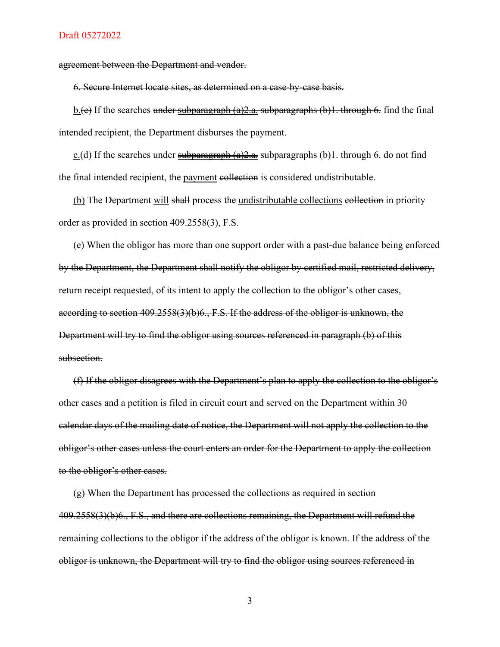agreement between the Department and vendor.

6. Secure Internet locate sites, as determined on a case-by-case basis.

b.(e) If the searches under subparagraph (a) 2.a. subparagraphs (b) 1. through 6. find the final intended recipient, the Department disburses the payment.

c.(d) If the searches under subparagraph (a) 2.a. subparagraphs (b) 1. through 6. do not find the final intended recipient, the payment eollection is considered undistributable.

(b) The Department will shall process the undistributable collections esollection in priority order as provided in section 409.2558(3), F.S.

(e) When the obligor has more than one support order with a past-due balance being enforced by the Department, the Department shall notify the obligor by certified mail, restricted delivery, return receipt requested, of its intent to apply the collection to the obligor's other cases, according to section 409.2558(3)(b)6., F.S. If the address of the obligor is unknown, the Department will try to find the obligor using sources referenced in paragraph (b) of this subsection.

(f) If the obligor disagrees with the Department's plan to apply the collection to the obligor's other cases and a petition is filed in circuit court and served on the Department within 30 calendar days of the mailing date of notice, the Department will not apply the collection to the obligor's other cases unless the court enters an order for the Department to apply the collection to the obligor's other cases.

(g) When the Department has processed the collections as required in section 409.2558(3)(b)6., F.S., and there are collections remaining, the Department will refund the remaining collections to the obligor if the address of the obligor is known. If the address of the obligor is unknown, the Department will try to find the obligor using sources referenced in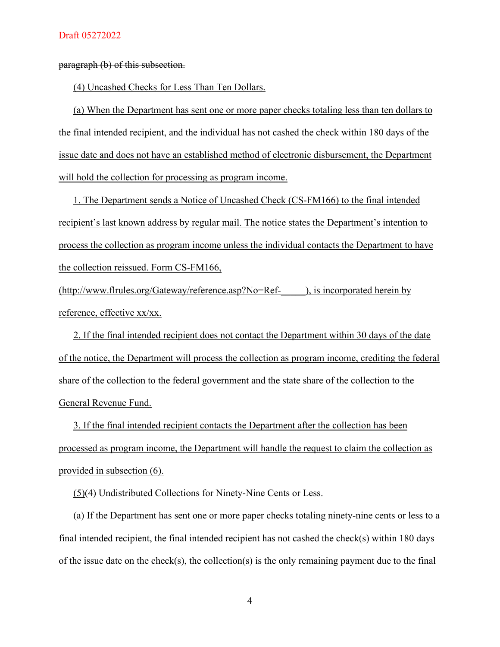paragraph (b) of this subsection.

(4) Uncashed Checks for Less Than Ten Dollars.

(a) When the Department has sent one or more paper checks totaling less than ten dollars to the final intended recipient, and the individual has not cashed the check within 180 days of the issue date and does not have an established method of electronic disbursement, the Department will hold the collection for processing as program income.

1. The Department sends a Notice of Uncashed Check (CS-FM166) to the final intended recipient's last known address by regular mail. The notice states the Department's intention to process the collection as program income unless the individual contacts the Department to have the collection reissued. Form CS-FM166,

(http://www.flrules.org/Gateway/reference.asp?No=Ref-\_\_\_\_\_), is incorporated herein by reference, effective xx/xx.

2. If the final intended recipient does not contact the Department within 30 days of the date of the notice, the Department will process the collection as program income, crediting the federal share of the collection to the federal government and the state share of the collection to the General Revenue Fund.

3. If the final intended recipient contacts the Department after the collection has been processed as program income, the Department will handle the request to claim the collection as provided in subsection (6).

(5)(4) Undistributed Collections for Ninety-Nine Cents or Less.

(a) If the Department has sent one or more paper checks totaling ninety-nine cents or less to a final intended recipient, the final intended recipient has not cashed the check(s) within 180 days of the issue date on the check(s), the collection(s) is the only remaining payment due to the final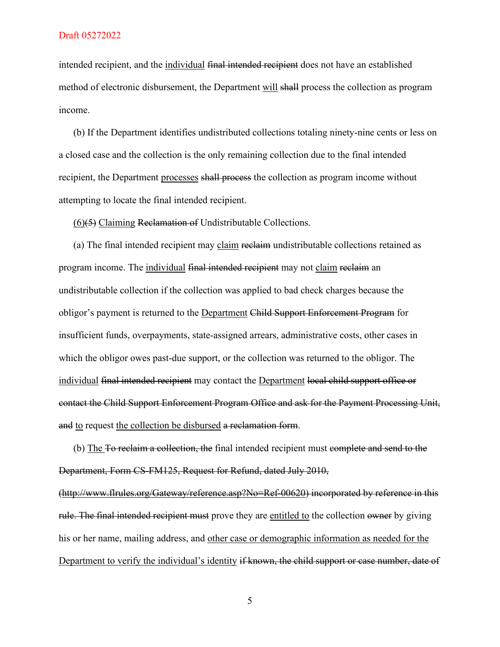intended recipient, and the individual final intended recipient does not have an established method of electronic disbursement, the Department will shall process the collection as program income.

(b) If the Department identifies undistributed collections totaling ninety-nine cents or less on a closed case and the collection is the only remaining collection due to the final intended recipient, the Department processes shall process the collection as program income without attempting to locate the final intended recipient.

(6)(5) Claiming Reclamation of Undistributable Collections.

(a) The final intended recipient may claim reclaim undistributable collections retained as program income. The individual final intended recipient may not claim reclaim an undistributable collection if the collection was applied to bad check charges because the obligor's payment is returned to the Department Child Support Enforcement Program for insufficient funds, overpayments, state-assigned arrears, administrative costs, other cases in which the obligor owes past-due support, or the collection was returned to the obligor. The individual final intended recipient may contact the Department local child support office or contact the Child Support Enforcement Program Office and ask for the Payment Processing Unit, and to request the collection be disbursed a reclamation form.

(b) The To reclaim a collection, the final intended recipient must complete and send to the Department, Form CS-FM125, Request for Refund, dated July 2010, [\(http://www.flrules.org/Gateway/reference.asp?No=Ref-00620\)](http://www.flrules.org/Gateway/reference.asp?No=Ref-00620) incorporated by reference in this rule. The final intended recipient must prove they are entitled to the collection owner by giving his or her name, mailing address, and other case or demographic information as needed for the Department to verify the individual's identity if known, the child support or case number, date of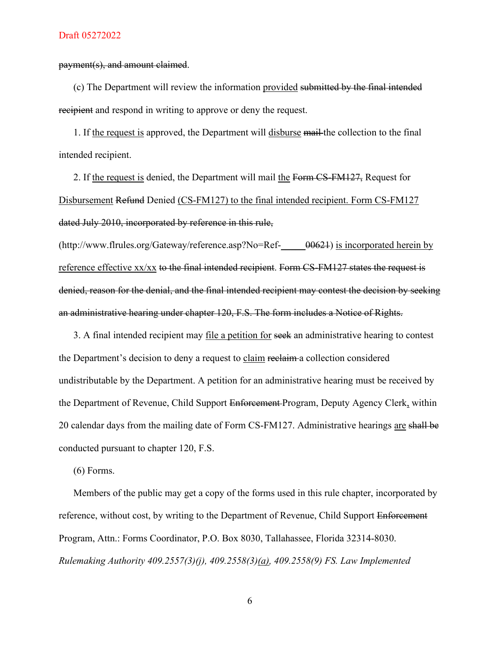payment(s), and amount claimed.

(c) The Department will review the information provided submitted by the final intended recipient and respond in writing to approve or deny the request.

1. If the request is approved, the Department will disburse mail the collection to the final intended recipient.

2. If the request is denied, the Department will mail the Form CS-FM127, Request for Disbursement Refund Denied (CS-FM127) to the final intended recipient. Form CS-FM127 dated July 2010, incorporated by reference in this rule,

 $(\text{http://www.flrules.org/Gateway/reference.asp?No=Ref--\ 00624})$  is incorporated herein by reference effective xx/xx to the final intended recipient. Form CS-FM127 states the request is denied, reason for the denial, and the final intended recipient may contest the decision by seeking an administrative hearing under chapter 120, F.S. The form includes a Notice of Rights.

3. A final intended recipient may file a petition for seek an administrative hearing to contest the Department's decision to deny a request to claim reclaim a collection considered undistributable by the Department. A petition for an administrative hearing must be received by the Department of Revenue, Child Support Enforcement Program, Deputy Agency Clerk, within 20 calendar days from the mailing date of Form CS-FM127. Administrative hearings are shall be conducted pursuant to chapter 120, F.S.

(6) Forms.

Members of the public may get a copy of the forms used in this rule chapter, incorporated by reference, without cost, by writing to the Department of Revenue, Child Support Enforcement Program, Attn.: Forms Coordinator, P.O. Box 8030, Tallahassee, Florida 32314-8030. *Rulemaking Authority 409.2557(3)(j), 409.2558(3)(a), 409.2558(9) FS. Law Implemented*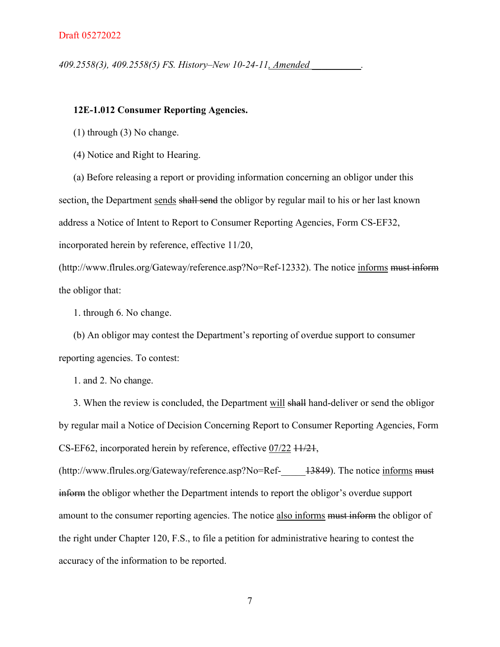*409.2558(3), 409.2558(5) FS. History–New 10-24-11, Amended \_\_\_\_\_\_\_\_\_\_.*

### **12E-1.012 Consumer Reporting Agencies.**

(1) through (3) No change.

(4) Notice and Right to Hearing.

(a) Before releasing a report or providing information concerning an obligor under this section, the Department sends shall send the obligor by regular mail to his or her last known address a Notice of Intent to Report to Consumer Reporting Agencies, Form CS-EF32, incorporated herein by reference, effective 11/20,

(http://www.flrules.org/Gateway/reference.asp?No=Ref-12332). The notice informs must inform the obligor that:

1. through 6. No change.

(b) An obligor may contest the Department's reporting of overdue support to consumer reporting agencies. To contest:

1. and 2. No change.

3. When the review is concluded, the Department will shall hand-deliver or send the obligor by regular mail a Notice of Decision Concerning Report to Consumer Reporting Agencies, Form CS-EF62, incorporated herein by reference, effective 07/22 11/21,

 $(\text{http://www.flrules.org/Gateway/reference.asp?No=Ref--} 13849)$ . The notice informs must inform the obligor whether the Department intends to report the obligor's overdue support amount to the consumer reporting agencies. The notice also informs <del>must inform</del> the obligor of the right under Chapter 120, F.S., to file a petition for administrative hearing to contest the accuracy of the information to be reported.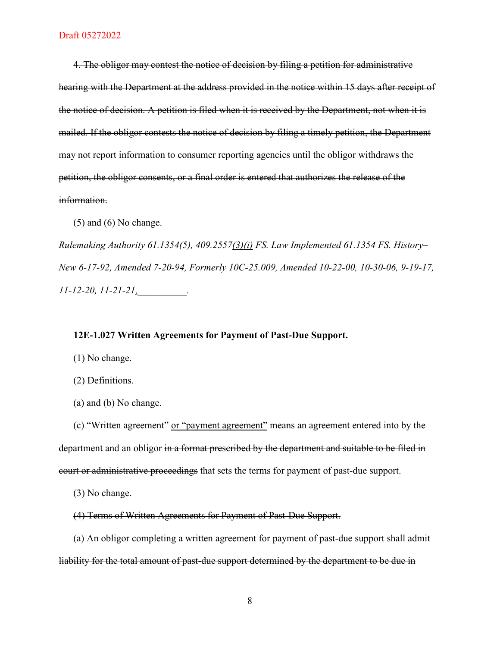4. The obligor may contest the notice of decision by filing a petition for administrative hearing with the Department at the address provided in the notice within 15 days after receipt of the notice of decision. A petition is filed when it is received by the Department, not when it is mailed. If the obligor contests the notice of decision by filing a timely petition, the Department may not report information to consumer reporting agencies until the obligor withdraws the petition, the obligor consents, or a final order is entered that authorizes the release of the information.

 $(5)$  and  $(6)$  No change.

*Rulemaking Authority 61.1354(5), 409.2557(3)(i) FS. Law Implemented 61.1354 FS. History– New 6-17-92, Amended 7-20-94, Formerly 10C-25.009, Amended 10-22-00, 10-30-06, 9-19-17, 11-12-20, 11-21-21,\_\_\_\_\_\_\_\_\_\_.*

### **12E-1.027 Written Agreements for Payment of Past-Due Support.**

- (1) No change.
- (2) Definitions.
- (a) and (b) No change.

(c) "Written agreement" or "payment agreement" means an agreement entered into by the department and an obligor in a format prescribed by the department and suitable to be filed in court or administrative proceedings that sets the terms for payment of past-due support.

- (3) No change.
- (4) Terms of Written Agreements for Payment of Past-Due Support.

(a) An obligor completing a written agreement for payment of past-due support shall admit liability for the total amount of past-due support determined by the department to be due in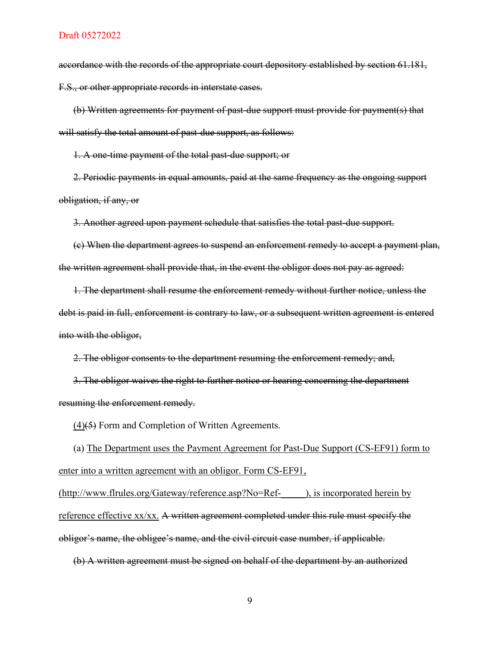accordance with the records of the appropriate court depository established by section 61.181, F.S., or other appropriate records in interstate cases.

(b) Written agreements for payment of past-due support must provide for payment(s) that will satisfy the total amount of past-due support, as follows:

1. A one-time payment of the total past-due support; or

2. Periodic payments in equal amounts, paid at the same frequency as the ongoing support obligation, if any, or

3. Another agreed upon payment schedule that satisfies the total past-due support.

(c) When the department agrees to suspend an enforcement remedy to accept a payment plan, the written agreement shall provide that, in the event the obligor does not pay as agreed:

1. The department shall resume the enforcement remedy without further notice, unless the debt is paid in full, enforcement is contrary to law, or a subsequent written agreement is entered into with the obligor,

2. The obligor consents to the department resuming the enforcement remedy; and,

3. The obligor waives the right to further notice or hearing concerning the department resuming the enforcement remedy.

 $(4)(5)$  Form and Completion of Written Agreements.

(a) The Department uses the Payment Agreement for Past-Due Support (CS-EF91) form to enter into a written agreement with an obligor. Form CS-EF91, (http://www.flrules.org/Gateway/reference.asp?No=Ref-\_\_\_\_\_), is incorporated herein by reference effective xx/xx. A written agreement completed under this rule must specify the obligor's name, the obligee's name, and the civil circuit case number, if applicable.

(b) A written agreement must be signed on behalf of the department by an authorized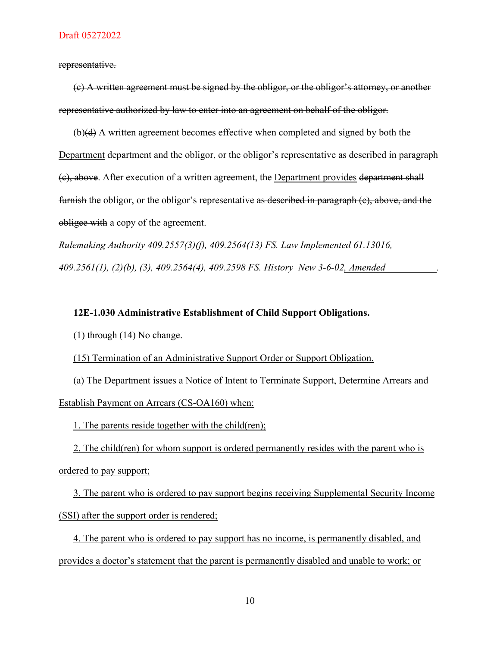representative.

(c) A written agreement must be signed by the obligor, or the obligor's attorney, or another representative authorized by law to enter into an agreement on behalf of the obligor.

(b)(d) A written agreement becomes effective when completed and signed by both the Department department and the obligor, or the obligor's representative as described in paragraph (c), above. After execution of a written agreement, the Department provides department shall furnish the obligor, or the obligor's representative as described in paragraph (e), above, and the obligee with a copy of the agreement.

*Rulemaking Authority 409.2557(3)(f), 409.2564(13) FS. Law Implemented 61.13016, 409.2561(1), (2)(b), (3), 409.2564(4), 409.2598 FS. History–New 3-6-02, Amended \_\_\_\_\_\_\_\_\_\_.*

### **12E-1.030 Administrative Establishment of Child Support Obligations.**

(1) through (14) No change.

(15) Termination of an Administrative Support Order or Support Obligation.

(a) The Department issues a Notice of Intent to Terminate Support, Determine Arrears and Establish Payment on Arrears (CS-OA160) when:

1. The parents reside together with the child(ren);

2. The child(ren) for whom support is ordered permanently resides with the parent who is ordered to pay support;

3. The parent who is ordered to pay support begins receiving Supplemental Security Income (SSI) after the support order is rendered;

4. The parent who is ordered to pay support has no income, is permanently disabled, and provides a doctor's statement that the parent is permanently disabled and unable to work; or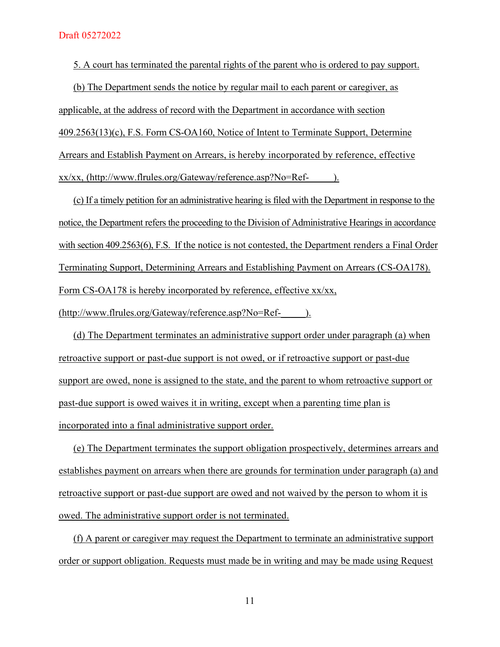5. A court has terminated the parental rights of the parent who is ordered to pay support.

(b) The Department sends the notice by regular mail to each parent or caregiver, as applicable, at the address of record with the Department in accordance with section 409.2563(13)(c), F.S. Form CS-OA160, Notice of Intent to Terminate Support, Determine Arrears and Establish Payment on Arrears, is hereby incorporated by reference, effective xx/xx, (http://www.flrules.org/Gateway/reference.asp?No=Ref-\_\_\_\_\_).

(c) If a timely petition for an administrative hearing is filed with the Department in response to the notice, the Department refers the proceeding to the Division of Administrative Hearings in accordance with section 409.2563(6), F.S. If the notice is not contested, the Department renders a Final Order Terminating Support, Determining Arrears and Establishing Payment on Arrears (CS-OA178). Form CS-OA178 is hereby incorporated by reference, effective xx/xx,

(http://www.flrules.org/Gateway/reference.asp?No=Ref-\_\_\_\_\_).

(d) The Department terminates an administrative support order under paragraph (a) when retroactive support or past-due support is not owed, or if retroactive support or past-due support are owed, none is assigned to the state, and the parent to whom retroactive support or past-due support is owed waives it in writing, except when a parenting time plan is incorporated into a final administrative support order.

(e) The Department terminates the support obligation prospectively, determines arrears and establishes payment on arrears when there are grounds for termination under paragraph (a) and retroactive support or past-due support are owed and not waived by the person to whom it is owed. The administrative support order is not terminated.

(f) A parent or caregiver may request the Department to terminate an administrative support order or support obligation. Requests must made be in writing and may be made using Request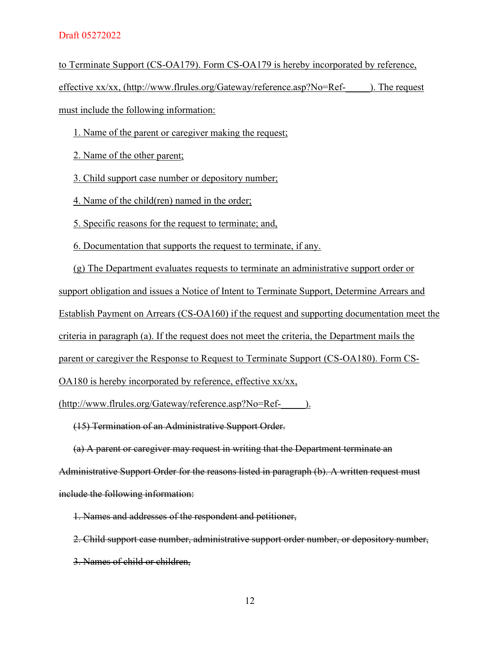to Terminate Support (CS-OA179). Form CS-OA179 is hereby incorporated by reference,

effective xx/xx, (http://www.flrules.org/Gateway/reference.asp?No=Ref-<br> must include the following information:

1. Name of the parent or caregiver making the request;

2. Name of the other parent;

3. Child support case number or depository number;

4. Name of the child(ren) named in the order;

5. Specific reasons for the request to terminate; and,

6. Documentation that supports the request to terminate, if any.

(g) The Department evaluates requests to terminate an administrative support order or support obligation and issues a Notice of Intent to Terminate Support, Determine Arrears and Establish Payment on Arrears (CS-OA160) if the request and supporting documentation meet the criteria in paragraph (a). If the request does not meet the criteria, the Department mails the parent or caregiver the Response to Request to Terminate Support (CS-OA180). Form CS-OA180 is hereby incorporated by reference, effective xx/xx,

(http://www.flrules.org/Gateway/reference.asp?No=Ref-\_\_\_\_\_).

(15) Termination of an Administrative Support Order.

(a) A parent or caregiver may request in writing that the Department terminate an Administrative Support Order for the reasons listed in paragraph (b). A written request must include the following information:

1. Names and addresses of the respondent and petitioner,

2. Child support case number, administrative support order number, or depository number, 3. Names of child or children,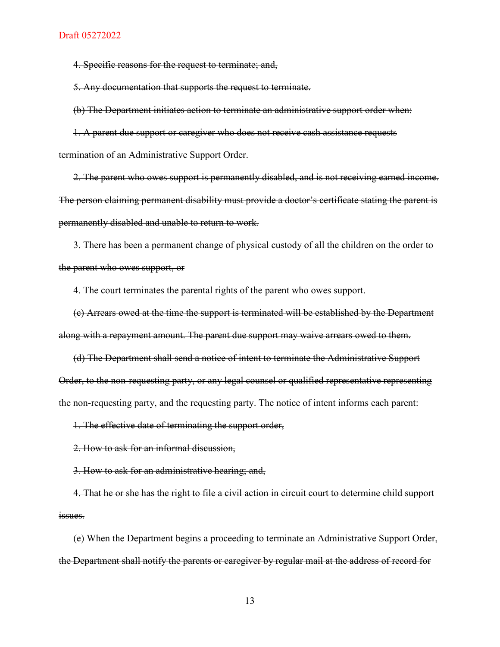4. Specific reasons for the request to terminate; and,

5. Any documentation that supports the request to terminate.

(b) The Department initiates action to terminate an administrative support order when:

1. A parent due support or caregiver who does not receive cash assistance requests

termination of an Administrative Support Order.

2. The parent who owes support is permanently disabled, and is not receiving earned income. The person claiming permanent disability must provide a doctor's certificate stating the parent is permanently disabled and unable to return to work.

3. There has been a permanent change of physical custody of all the children on the order to the parent who owes support, or

4. The court terminates the parental rights of the parent who owes support.

(c) Arrears owed at the time the support is terminated will be established by the Department along with a repayment amount. The parent due support may waive arrears owed to them.

(d) The Department shall send a notice of intent to terminate the Administrative Support Order, to the non-requesting party, or any legal counsel or qualified representative representing the non-requesting party, and the requesting party. The notice of intent informs each parent:

1. The effective date of terminating the support order,

2. How to ask for an informal discussion,

3. How to ask for an administrative hearing; and,

4. That he or she has the right to file a civil action in circuit court to determine child support issues.

(e) When the Department begins a proceeding to terminate an Administrative Support Order, the Department shall notify the parents or caregiver by regular mail at the address of record for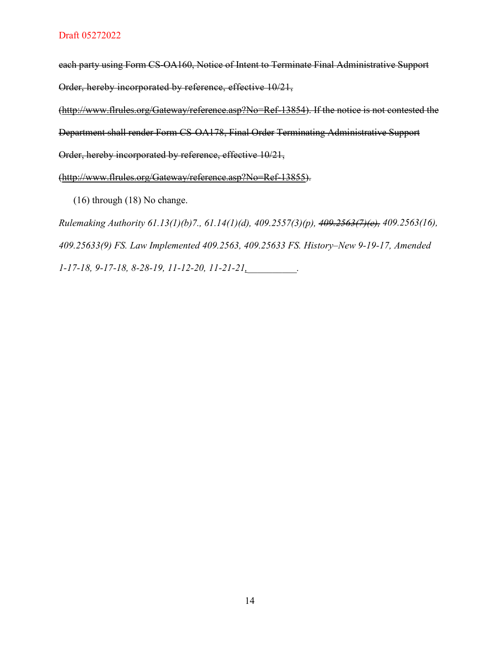each party using Form CS-OA160, Notice of Intent to Terminate Final Administrative Support Order, hereby incorporated by reference, effective 10/21,

[\(http://www.flrules.org/Gateway/reference.asp?No=Ref-13854\)](http://www.flrules.org/Gateway/reference.asp?No=Ref-13854). If the notice is not contested the Department shall render Form CS-OA178, Final Order Terminating Administrative Support

Order, hereby incorporated by reference, effective 10/21,

[\(http://www.flrules.org/Gateway/reference.asp?No=Ref-13855\)](http://www.flrules.org/Gateway/reference.asp?No=Ref-13855).

(16) through (18) No change.

*Rulemaking Authority 61.13(1)(b)7., 61.14(1)(d), 409.2557(3)(p), 409.2563(7)(e), 409.2563(16), 409.25633(9) FS. Law Implemented 409.2563, 409.25633 FS. History–New 9-19-17, Amended 1-17-18, 9-17-18, 8-28-19, 11-12-20, 11-21-21,\_\_\_\_\_\_\_\_\_\_.*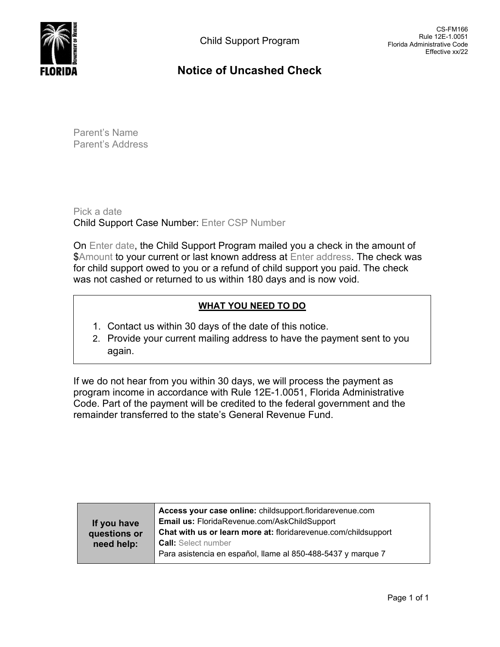

# **Notice of Uncashed Check**

Parent's Name Parent's Address

Pick a date Child Support Case Number: Enter CSP Number

On Enter date, the Child Support Program mailed you a check in the amount of \$Amount to your current or last known address at Enter address. The check was for child support owed to you or a refund of child support you paid. The check was not cashed or returned to us within 180 days and is now void.

# **WHAT YOU NEED TO DO**

- 1. Contact us within 30 days of the date of this notice.
- 2. Provide your current mailing address to have the payment sent to you again.

If we do not hear from you within 30 days, we will process the payment as program income in accordance with Rule 12E-1.0051, Florida Administrative Code. Part of the payment will be credited to the federal government and the remainder transferred to the state's General Revenue Fund.

|              | Access your case online: childsupport.floridarevenue.com       |  |  |  |  |  |
|--------------|----------------------------------------------------------------|--|--|--|--|--|
| If you have  | Email us: FloridaRevenue.com/AskChildSupport                   |  |  |  |  |  |
| questions or | Chat with us or learn more at: floridarevenue.com/childsupport |  |  |  |  |  |
| need help:   | <b>Call:</b> Select number                                     |  |  |  |  |  |
|              | Para asistencia en español, llame al 850-488-5437 y marque 7   |  |  |  |  |  |
|              |                                                                |  |  |  |  |  |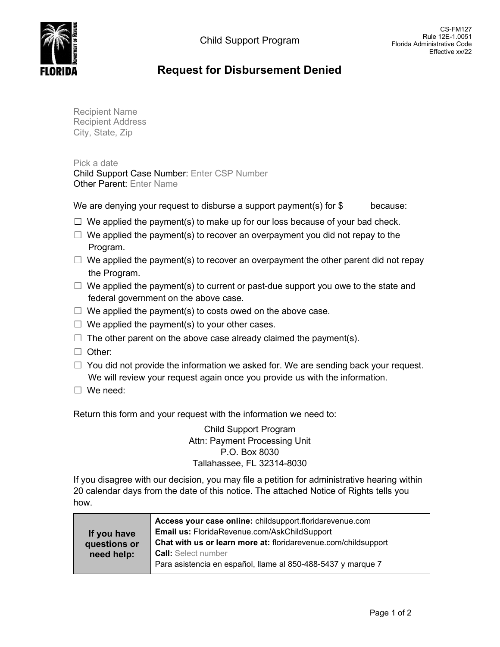CS-FM127



# **Request for Disbursement Denied**

Recipient Name Recipient Address City, State, Zip

Pick a date Child Support Case Number: Enter CSP Number Other Parent: Enter Name

We are denying your request to disburse a support payment(s) for  $$$  because:

- $\Box$  We applied the payment(s) to make up for our loss because of your bad check.
- $\Box$  We applied the payment(s) to recover an overpayment you did not repay to the Program.
- $\Box$  We applied the payment(s) to recover an overpayment the other parent did not repay the Program.
- $\Box$  We applied the payment(s) to current or past-due support you owe to the state and federal government on the above case.
- $\Box$  We applied the payment(s) to costs owed on the above case.
- $\Box$  We applied the payment(s) to your other cases.
- $\Box$  The other parent on the above case already claimed the payment(s).
- ☐ Other:
- $\Box$  You did not provide the information we asked for. We are sending back your request. We will review your request again once you provide us with the information.
- ☐ We need:

Return this form and your request with the information we need to:

Child Support Program Attn: Payment Processing Unit P.O. Box 8030 Tallahassee, FL 32314-8030

If you disagree with our decision, you may file a petition for administrative hearing within 20 calendar days from the date of this notice. The attached Notice of Rights tells you how.

|              | Access your case online: childsupport.floridarevenue.com       |
|--------------|----------------------------------------------------------------|
| If you have  | Email us: FloridaRevenue.com/AskChildSupport                   |
| questions or | Chat with us or learn more at: floridarevenue.com/childsupport |
| need help:   | <b>Call:</b> Select number                                     |
|              | Para asistencia en español, llame al 850-488-5437 y marque 7   |
|              |                                                                |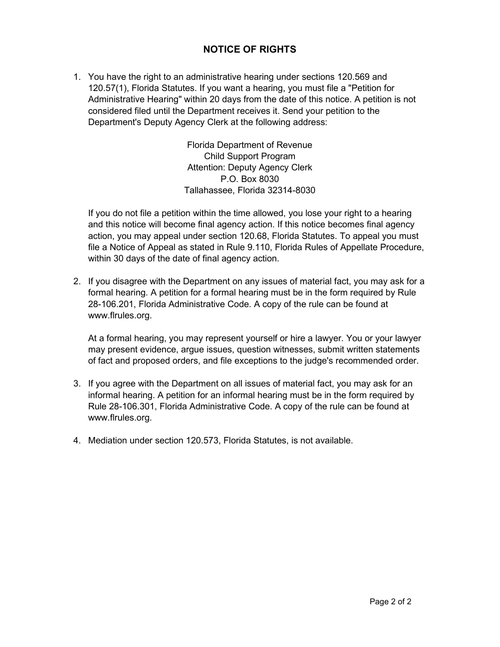# **NOTICE OF RIGHTS**

1. You have the right to an administrative hearing under sections 120.569 and 120.57(1), Florida Statutes. If you want a hearing, you must file a "Petition for Administrative Hearing" within 20 days from the date of this notice. A petition is not considered filed until the Department receives it. Send your petition to the Department's Deputy Agency Clerk at the following address:

> Florida Department of Revenue Child Support Program Attention: Deputy Agency Clerk P.O. Box 8030 Tallahassee, Florida 32314-8030

If you do not file a petition within the time allowed, you lose your right to a hearing and this notice will become final agency action. If this notice becomes final agency action, you may appeal under section 120.68, Florida Statutes. To appeal you must file a Notice of Appeal as stated in Rule 9.110, Florida Rules of Appellate Procedure, within 30 days of the date of final agency action.

2. If you disagree with the Department on any issues of material fact, you may ask for a formal hearing. A petition for a formal hearing must be in the form required by Rule 28-106.201, Florida Administrative Code. A copy of the rule can be found at www.flrules.org.

At a formal hearing, you may represent yourself or hire a lawyer. You or your lawyer may present evidence, argue issues, question witnesses, submit written statements of fact and proposed orders, and file exceptions to the judge's recommended order.

- 3. If you agree with the Department on all issues of material fact, you may ask for an informal hearing. A petition for an informal hearing must be in the form required by Rule 28-106.301, Florida Administrative Code. A copy of the rule can be found at www.flrules.org.
- 4. Mediation under section 120.573, Florida Statutes, is not available.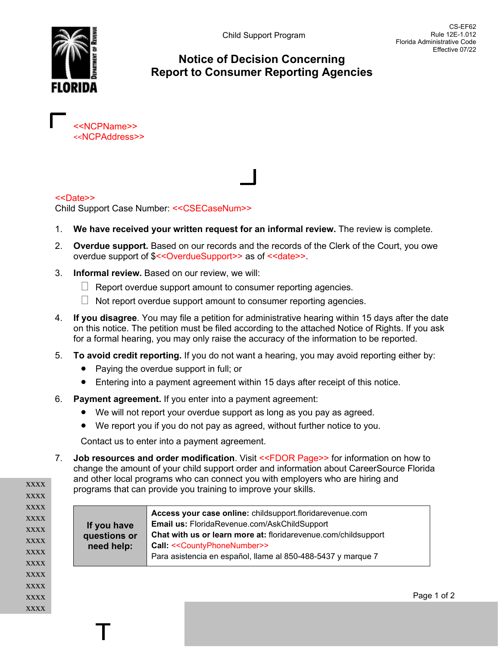

# **Notice of Decision Concerning Report to Consumer Reporting Agencies**

<<NCPName>> <<NCPAddress>>

### <<Date>>

Child Support Case Number: <<CSECaseNum>>

- 1. **We have received your written request for an informal review.** The review is complete.
- 2. **Overdue support.** Based on our records and the records of the Clerk of the Court, you owe overdue support of \$<<OverdueSupport>> as of <<date>>.
- 3. **Informal review.** Based on our review, we will:
	- $\Box$  Report overdue support amount to consumer reporting agencies.
	- $\Box$  Not report overdue support amount to consumer reporting agencies.
- 4. **If you disagree**. You may file a petition for administrative hearing within 15 days after the date on this notice. The petition must be filed according to the attached Notice of Rights. If you ask for a formal hearing, you may only raise the accuracy of the information to be reported.
- 5. **To avoid credit reporting.** If you do not want a hearing, you may avoid reporting either by:
	- Paying the overdue support in full; or
	- Entering into a payment agreement within 15 days after receipt of this notice.
- 6. **Payment agreement.** If you enter into a payment agreement:

- We will not report your overdue support as long as you pay as agreed.
- We report you if you do not pay as agreed, without further notice to you.

Contact us to enter into a payment agreement.

7. **Job resources and order modification**. Visit <<FDOR Page>> for information on how to change the amount of your child support order and information about CareerSource Florida and other local programs who can connect you with employers who are hiring and programs that can provide you training to improve your skills.

xxxx xxxx xxxx xxxx xxxx xxxx xxxx xxxx xxxx xxxx xxxx xxxx

| If you have<br>questions or<br>need help: | Access your case online: childsupport.floridarevenue.com<br>Email us: FloridaRevenue.com/AskChildSupport<br>Chat with us or learn more at: floridarevenue.com/childsupport<br>Call: << CountyPhoneNumber>><br>Para asistencia en español, llame al 850-488-5437 y marque 7 |
|-------------------------------------------|----------------------------------------------------------------------------------------------------------------------------------------------------------------------------------------------------------------------------------------------------------------------------|
|-------------------------------------------|----------------------------------------------------------------------------------------------------------------------------------------------------------------------------------------------------------------------------------------------------------------------------|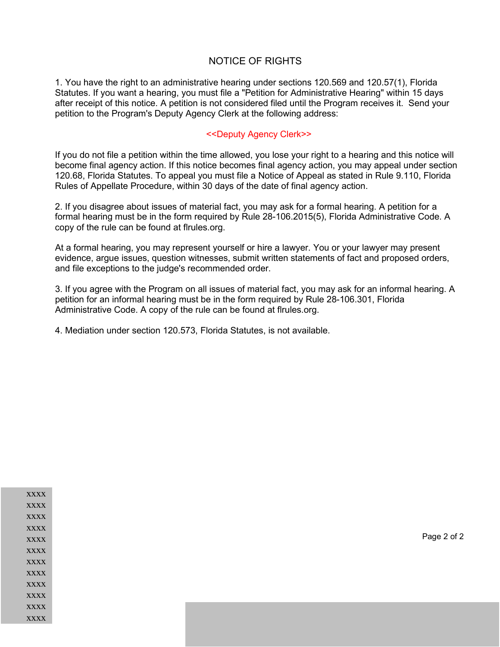### NOTICE OF RIGHTS

1. You have the right to an administrative hearing under sections 120.569 and 120.57(1), Florida Statutes. If you want a hearing, you must file a "Petition for Administrative Hearing" within 15 days after receipt of this notice. A petition is not considered filed until the Program receives it. Send your petition to the Program's Deputy Agency Clerk at the following address:

### <<Deputy Agency Clerk>>

If you do not file a petition within the time allowed, you lose your right to a hearing and this notice will become final agency action. If this notice becomes final agency action, you may appeal under section 120.68, Florida Statutes. To appeal you must file a Notice of Appeal as stated in Rule 9.110, Florida Rules of Appellate Procedure, within 30 days of the date of final agency action.

2. If you disagree about issues of material fact, you may ask for a formal hearing. A petition for a formal hearing must be in the form required by Rule 28-106.2015(5), Florida Administrative Code. A copy of the rule can be found at flrules.org.

At a formal hearing, you may represent yourself or hire a lawyer. You or your lawyer may present evidence, argue issues, question witnesses, submit written statements of fact and proposed orders, and file exceptions to the judge's recommended order.

3. If you agree with the Program on all issues of material fact, you may ask for an informal hearing. A petition for an informal hearing must be in the form required by Rule 28-106.301, Florida Administrative Code. A copy of the rule can be found at flrules.org.

4. Mediation under section 120.573, Florida Statutes, is not available.

| xxxx        |
|-------------|
| <b>XXXX</b> |
| <b>XXXX</b> |
| <b>XXXX</b> |
| <b>XXXX</b> |
| <b>XXXX</b> |
| <b>XXXX</b> |
| <b>XXXX</b> |
| <b>XXXX</b> |
| <b>XXXX</b> |
| <b>XXXX</b> |
| <b>XXXX</b> |

Page 2 of 2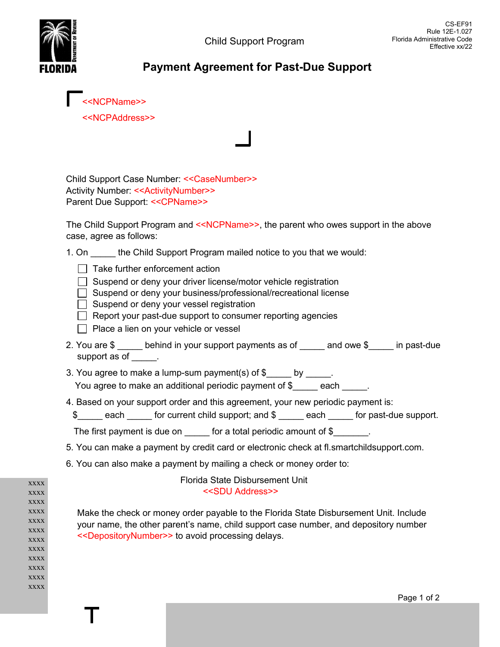

<<NCPName>> <<NCPAddress>>

Child Support Case Number: <<CaseNumber>> Activity Number: <<ActivityNumber>> Parent Due Support: << CPName>>

The Child Support Program and <<NCPName>>, the parent who owes support in the above case, agree as follows:

| 1. On | the Child Support Program mailed notice to you that we would: |  |
|-------|---------------------------------------------------------------|--|
|       |                                                               |  |

- $\Box$  Take further enforcement action
- $\Box$  Suspend or deny your driver license/motor vehicle registration
- Suspend or deny your business/professional/recreational license
- $\Box$  Suspend or deny your vessel registration
- $\Box$  Report your past-due support to consumer reporting agencies
- $\Box$  Place a lien on your vehicle or vessel
- 2. You are \$ behind in your support payments as of and owe \$ in past-due support as of  $\qquad$ .
- 3. You agree to make a lump-sum payment(s) of  $\frac{1}{2}$  by \_\_\_\_\_. You agree to make an additional periodic payment of \$\_\_\_\_\_\_ each \_\_\_\_\_.
- 4. Based on your support order and this agreement, your new periodic payment is:
	- \$ each for current child support; and \$ each for past-due support.

The first payment is due on  $\qquad \qquad$  for a total periodic amount of  $\$$ 

- 5. You can make a payment by credit card or electronic check at fl.smartchildsupport.com.
- 6. You can also make a payment by mailing a check or money order to:

xxxx xxxx xxxx xxxx xxxx xxxx xxxx  $\bold{XXX}$ xxxx xxxx xxxx xxxx

### Florida State Disbursement Unit <<SDU Address>>

Make the check or money order payable to the Florida State Disbursement Unit. Include your name, the other parent's name, child support case number, and depository number <<DepositoryNumber>> to avoid processing delays.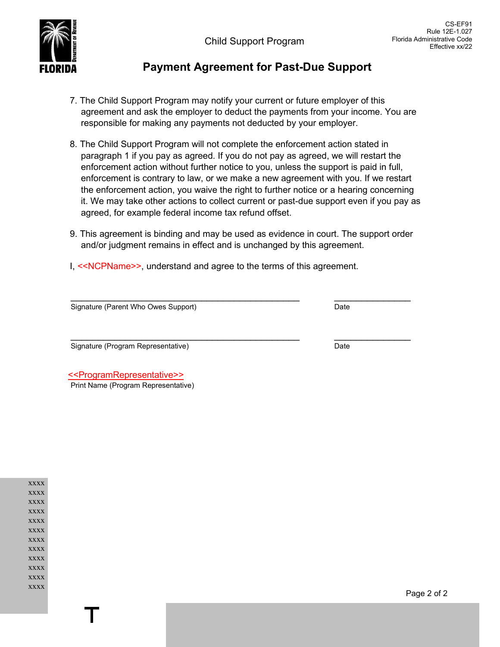

- 7. The Child Support Program may notify your current or future employer of this agreement and ask the employer to deduct the payments from your income. You are responsible for making any payments not deducted by your employer.
- 8. The Child Support Program will not complete the enforcement action stated in paragraph 1 if you pay as agreed. If you do not pay as agreed, we will restart the enforcement action without further notice to you, unless the support is paid in full, enforcement is contrary to law, or we make a new agreement with you. If we restart the enforcement action, you waive the right to further notice or a hearing concerning it. We may take other actions to collect current or past-due support even if you pay as agreed, for example federal income tax refund offset.
- 9. This agreement is binding and may be used as evidence in court. The support order and/or judgment remains in effect and is unchanged by this agreement.
- I, <<NCPName>>, understand and agree to the terms of this agreement.

Signature (Parent Who Owes Support) Signature (Parent Who Owes Support) Date

Signature (Program Representative) and the state of the Signature (Date

 <<ProgramRepresentative>> Print Name (Program Representative)

xxxx xxxx xxxx xxxx xxxx xxxx xxxx xxxx xxxx xxxx xxxx xxxx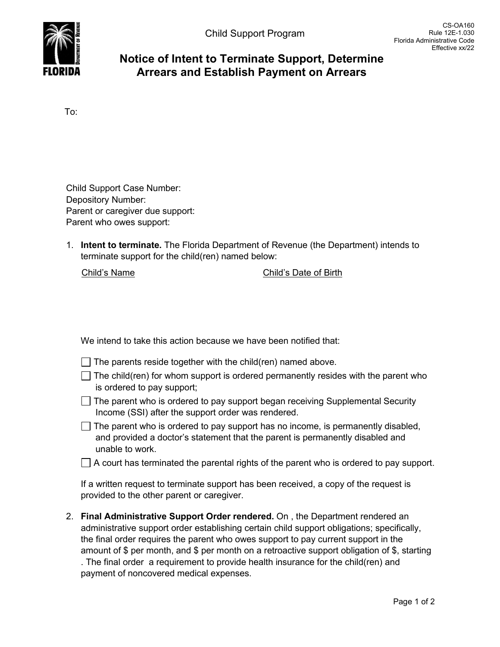

# **Notice of Intent to Terminate Support, Determine Arrears and Establish Payment on Arrears**

To:

| <b>Child Support Case Number:</b> |
|-----------------------------------|
| <b>Depository Number:</b>         |
| Parent or caregiver due support:  |
| Parent who owes support:          |

1. **Intent to terminate.** The Florida Department of Revenue (the Department) intends to terminate support for the child(ren) named below:

Child's Name Child's Date of Birth

We intend to take this action because we have been notified that:

- $\Box$  The parents reside together with the child(ren) named above.
- $\Box$  The child(ren) for whom support is ordered permanently resides with the parent who is ordered to pay support;
- The parent who is ordered to pay support began receiving Supplemental Security Income (SSI) after the support order was rendered.
- $\Box$  The parent who is ordered to pay support has no income, is permanently disabled, and provided a doctor's statement that the parent is permanently disabled and unable to work.
- $\Box$  A court has terminated the parental rights of the parent who is ordered to pay support.

If a written request to terminate support has been received, a copy of the request is provided to the other parent or caregiver.

2. **Final Administrative Support Order rendered.** On , the Department rendered an administrative support order establishing certain child support obligations; specifically, the final order requires the parent who owes support to pay current support in the amount of \$ per month, and \$ per month on a retroactive support obligation of \$, starting . The final order a requirement to provide health insurance for the child(ren) and payment of noncovered medical expenses.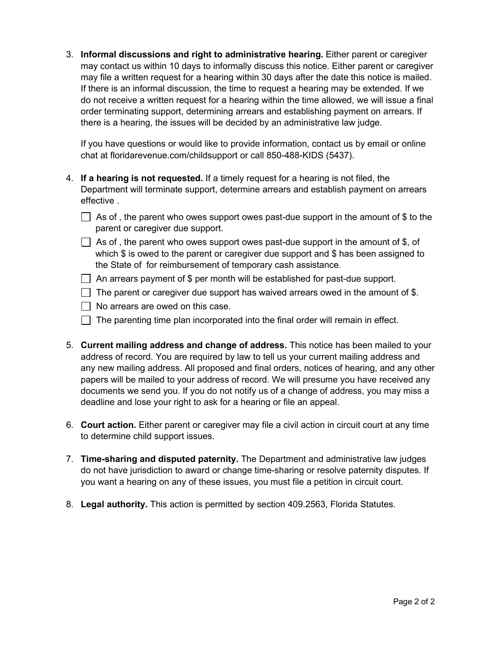3. **Informal discussions and right to administrative hearing.** Either parent or caregiver may contact us within 10 days to informally discuss this notice. Either parent or caregiver may file a written request for a hearing within 30 days after the date this notice is mailed. If there is an informal discussion, the time to request a hearing may be extended. If we do not receive a written request for a hearing within the time allowed, we will issue a final order terminating support, determining arrears and establishing payment on arrears. If there is a hearing, the issues will be decided by an administrative law judge.

If you have questions or would like to provide information, contact us by email or online chat at floridarevenue.com/childsupport or call 850-488-KIDS (5437).

- 4. **If a hearing is not requested.** If a timely request for a hearing is not filed, the Department will terminate support, determine arrears and establish payment on arrears effective .
	- $\Box$  As of , the parent who owes support owes past-due support in the amount of \$ to the parent or caregiver due support.
	- $\Box$  As of, the parent who owes support owes past-due support in the amount of \$, of which \$ is owed to the parent or caregiver due support and \$ has been assigned to the State of for reimbursement of temporary cash assistance.
	- $\Box$  An arrears payment of \$ per month will be established for past-due support.
	- $\Box$  The parent or caregiver due support has waived arrears owed in the amount of \$.
	- $\Box$  No arrears are owed on this case.
	- $\Box$  The parenting time plan incorporated into the final order will remain in effect.
- 5. **Current mailing address and change of address.** This notice has been mailed to your address of record. You are required by law to tell us your current mailing address and any new mailing address. All proposed and final orders, notices of hearing, and any other papers will be mailed to your address of record. We will presume you have received any documents we send you. If you do not notify us of a change of address, you may miss a deadline and lose your right to ask for a hearing or file an appeal.
- 6. **Court action.** Either parent or caregiver may file a civil action in circuit court at any time to determine child support issues.
- 7. **Time-sharing and disputed paternity.** The Department and administrative law judges do not have jurisdiction to award or change time-sharing or resolve paternity disputes. If you want a hearing on any of these issues, you must file a petition in circuit court.
- 8. **Legal authority.** This action is permitted by section 409.2563, Florida Statutes.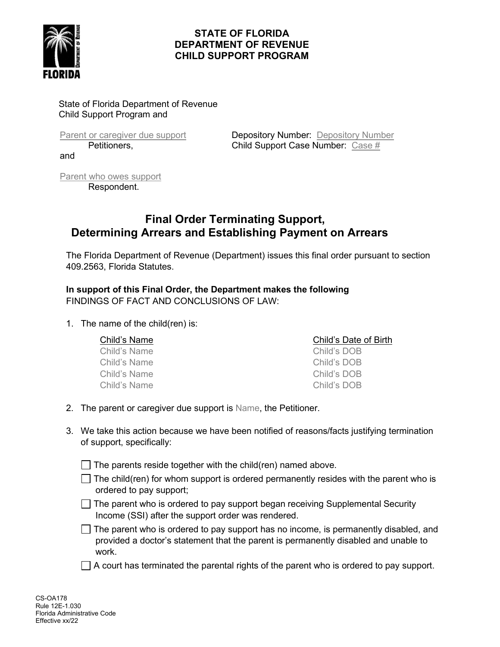

## **STATE OF FLORIDA DEPARTMENT OF REVENUE CHILD SUPPORT PROGRAM**

State of Florida Department of Revenue Child Support Program and

and

Parent or caregiver due support **Depository Number:** Depository Number Petitioners, **Child Support Case Number:** Case #

Parent who owes support Respondent.

# **Final Order Terminating Support, Determining Arrears and Establishing Payment on Arrears**

The Florida Department of Revenue (Department) issues this final order pursuant to section 409.2563, Florida Statutes.

**In support of this Final Order, the Department makes the following** FINDINGS OF FACT AND CONCLUSIONS OF LAW:

1. The name of the child(ren) is:

| Child's Name | Child's Date of Birth |
|--------------|-----------------------|
| Child's Name | Child's DOB           |
| Child's Name | Child's DOB           |
| Child's Name | Child's DOB           |
| Child's Name | Child's DOB           |
|              |                       |

- 2. The parent or caregiver due support is Name, the Petitioner.
- 3. We take this action because we have been notified of reasons/facts justifying termination of support, specifically:

 $\Box$  The parents reside together with the child(ren) named above.

- $\Box$  The child(ren) for whom support is ordered permanently resides with the parent who is ordered to pay support;
- $\Box$  The parent who is ordered to pay support began receiving Supplemental Security Income (SSI) after the support order was rendered.

 $\Box$  The parent who is ordered to pay support has no income, is permanently disabled, and provided a doctor's statement that the parent is permanently disabled and unable to work.

 $\Box$  A court has terminated the parental rights of the parent who is ordered to pay support.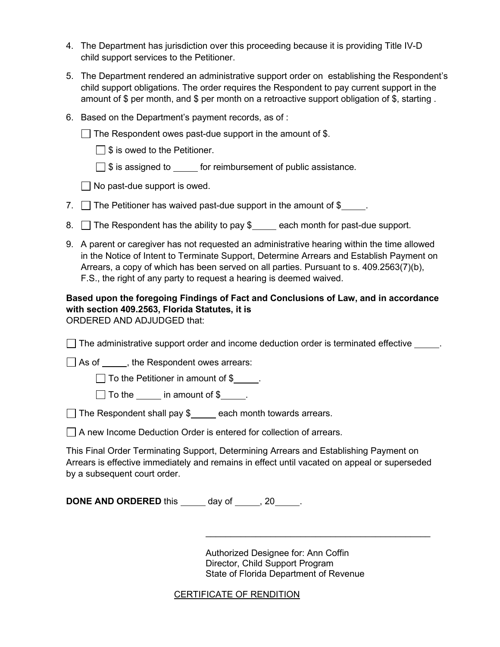- 4. The Department has jurisdiction over this proceeding because it is providing Title IV-D child support services to the Petitioner.
- 5. The Department rendered an administrative support order on establishing the Respondent's child support obligations. The order requires the Respondent to pay current support in the amount of \$ per month, and \$ per month on a retroactive support obligation of \$, starting .
- 6. Based on the Department's payment records, as of :

 $\Box$  The Respondent owes past-due support in the amount of \$.

 $\Box$  \$ is owed to the Petitioner.

 $\Box$  \$ is assigned to for reimbursement of public assistance.

 $\Box$  No past-due support is owed.

- 7.  $\Box$  The Petitioner has waived past-due support in the amount of \$ $\Box$ .
- 8. The Respondent has the ability to pay  $\frac{1}{2}$  each month for past-due support.
- 9. A parent or caregiver has not requested an administrative hearing within the time allowed in the Notice of Intent to Terminate Support, Determine Arrears and Establish Payment on Arrears, a copy of which has been served on all parties. Pursuant to s. 409.2563(7)(b), F.S., the right of any party to request a hearing is deemed waived.

# **Based upon the foregoing Findings of Fact and Conclusions of Law, and in accordance with section 409.2563, Florida Statutes, it is**

ORDERED AND ADJUDGED that:

 $\Box$  The administrative support order and income deduction order is terminated effective  $\rule{1em}{0.15mm}$ .

As of \_\_\_\_\_\_, the Respondent owes arrears:

 $\Box$  To the Petitioner in amount of \$.

| $\Box$ To the | in amount of \$ |
|---------------|-----------------|
|---------------|-----------------|

 $\Box$  The Respondent shall pay \$ $\Box$  each month towards arrears.

 $\Box$  A new Income Deduction Order is entered for collection of arrears.

This Final Order Terminating Support, Determining Arrears and Establishing Payment on Arrears is effective immediately and remains in effect until vacated on appeal or superseded by a subsequent court order.

**DONE AND ORDERED** this day of , 20 ...

Authorized Designee for: Ann Coffin Director, Child Support Program State of Florida Department of Revenue

 $\_$  . The contract of the contract of the contract of the contract of the contract of the contract of the contract of the contract of the contract of the contract of the contract of the contract of the contract of the con

CERTIFICATE OF RENDITION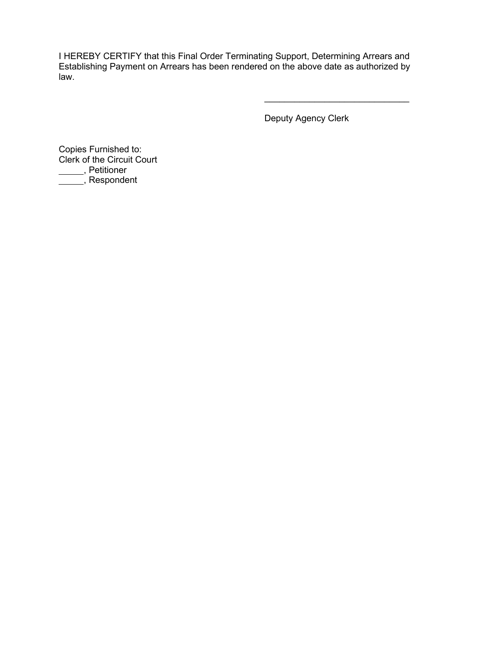I HEREBY CERTIFY that this Final Order Terminating Support, Determining Arrears and Establishing Payment on Arrears has been rendered on the above date as authorized by law.

Deputy Agency Clerk

 $\mathcal{L}_\text{max}$  , which is a set of the set of the set of the set of the set of the set of the set of the set of the set of the set of the set of the set of the set of the set of the set of the set of the set of the set of

Copies Furnished to: Clerk of the Circuit Court , Petitioner , Respondent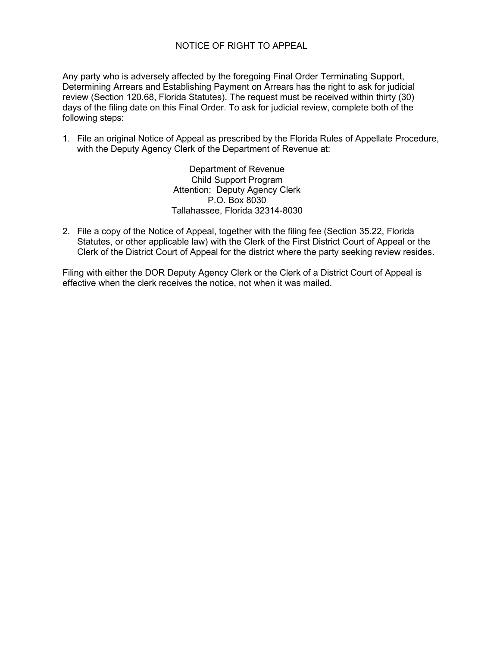### NOTICE OF RIGHT TO APPEAL

Any party who is adversely affected by the foregoing Final Order Terminating Support, Determining Arrears and Establishing Payment on Arrears has the right to ask for judicial review (Section 120.68, Florida Statutes). The request must be received within thirty (30) days of the filing date on this Final Order. To ask for judicial review, complete both of the following steps:

1. File an original Notice of Appeal as prescribed by the Florida Rules of Appellate Procedure, with the Deputy Agency Clerk of the Department of Revenue at:

> Department of Revenue Child Support Program Attention: Deputy Agency Clerk P.O. Box 8030 Tallahassee, Florida 32314-8030

2. File a copy of the Notice of Appeal, together with the filing fee (Section 35.22, Florida Statutes, or other applicable law) with the Clerk of the First District Court of Appeal or the Clerk of the District Court of Appeal for the district where the party seeking review resides.

Filing with either the DOR Deputy Agency Clerk or the Clerk of a District Court of Appeal is effective when the clerk receives the notice, not when it was mailed.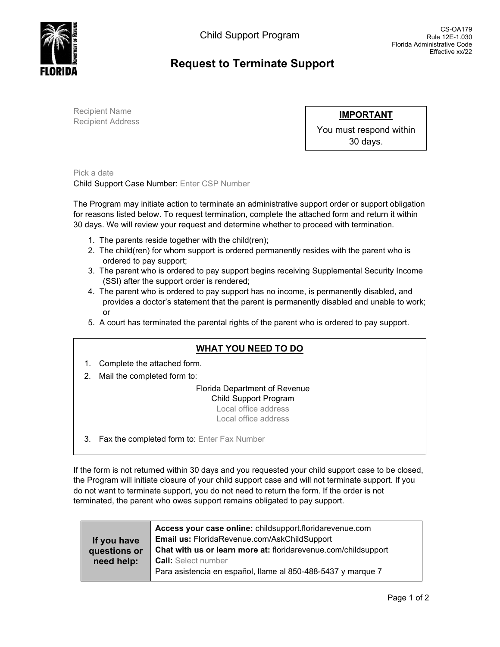

# **Request to Terminate Support**

Recipient Name Recipient Address

**IMPORTANT**

You must respond within 30 days.

Pick a date Child Support Case Number: Enter CSP Number

The Program may initiate action to terminate an administrative support order or support obligation for reasons listed below. To request termination, complete the attached form and return it within 30 days. We will review your request and determine whether to proceed with termination.

- 1. The parents reside together with the child(ren);
- 2. The child(ren) for whom support is ordered permanently resides with the parent who is ordered to pay support;
- 3. The parent who is ordered to pay support begins receiving Supplemental Security Income (SSI) after the support order is rendered;
- 4. The parent who is ordered to pay support has no income, is permanently disabled, and provides a doctor's statement that the parent is permanently disabled and unable to work; or
- 5. A court has terminated the parental rights of the parent who is ordered to pay support.

# **WHAT YOU NEED TO DO**

- 1. Complete the attached form.
- 2. Mail the completed form to:

Florida Department of Revenue Child Support Program Local office address Local office address

3. Fax the completed form to: Enter Fax Number

If the form is not returned within 30 days and you requested your child support case to be closed, the Program will initiate closure of your child support case and will not terminate support. If you do not want to terminate support, you do not need to return the form. If the order is not terminated, the parent who owes support remains obligated to pay support.

|              | Access your case online: childsupport.floridarevenue.com       |
|--------------|----------------------------------------------------------------|
| If you have  | Email us: FloridaRevenue.com/AskChildSupport                   |
| questions or | Chat with us or learn more at: floridarevenue.com/childsupport |
| need help:   | <b>Call:</b> Select number                                     |
|              | Para asistencia en español, llame al 850-488-5437 y marque 7   |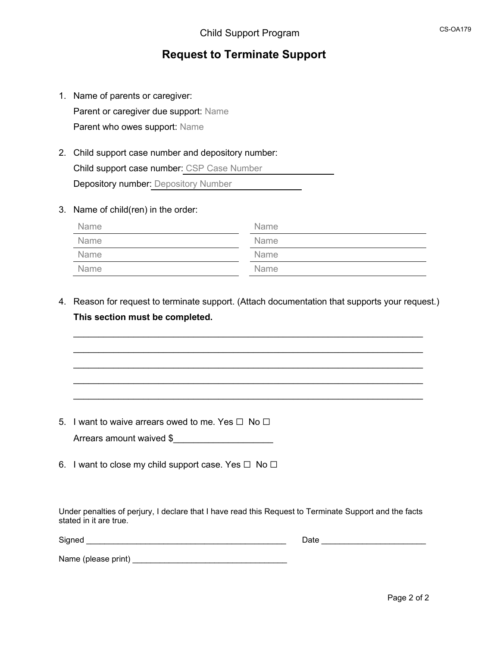# **Request to Terminate Support**

- 1. Name of parents or caregiver: Parent or caregiver due support: Name Parent who owes support: Name
- 2. Child support case number and depository number: Child support case number: CSP Case Number **Depository number: Depository Number**
- 3. Name of child(ren) in the order:

| Name | <b>Name</b> |
|------|-------------|
| Name | <b>Name</b> |
| Name | <b>Name</b> |
| Name | <b>Name</b> |

4. Reason for request to terminate support. (Attach documentation that supports your request.) **This section must be completed.**

 $\_$  $\_$  , and the set of the set of the set of the set of the set of the set of the set of the set of the set of the set of the set of the set of the set of the set of the set of the set of the set of the set of the set of th  $\_$  $\_$  , and the set of the set of the set of the set of the set of the set of the set of the set of the set of the set of the set of the set of the set of the set of the set of the set of the set of the set of the set of th  $\_$ 

- 5. I want to waive arrears owed to me. Yes  $\Box$  No  $\Box$ 
	- Arrears amount waived \$
- 6. I want to close my child support case. Yes  $\Box$  No  $\Box$

Under penalties of perjury, I declare that I have read this Request to Terminate Support and the facts stated in it are true.

 $Signed$ 

| Date |  |  |  |  |  |  |  |  |  |  |
|------|--|--|--|--|--|--|--|--|--|--|
|      |  |  |  |  |  |  |  |  |  |  |

Name (please print) \_\_\_\_\_\_\_\_\_\_\_\_\_\_\_\_\_\_\_\_\_\_\_\_\_\_\_\_\_\_\_\_\_\_